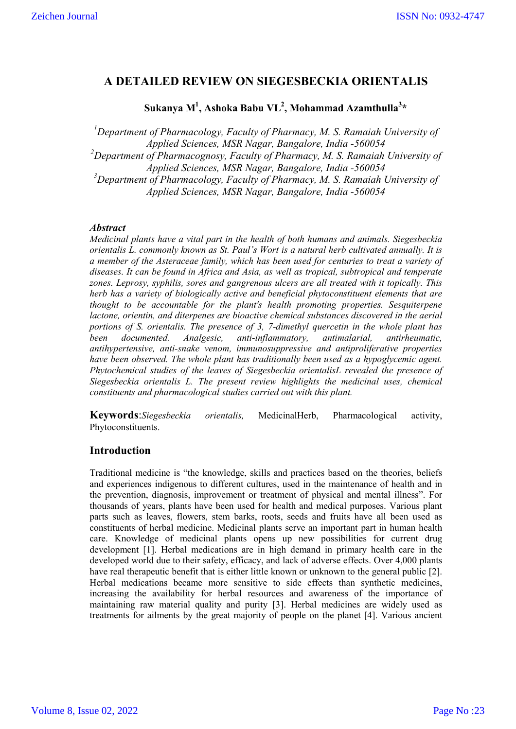# **A DETAILED REVIEW ON SIEGESBECKIA ORIENTALIS**

# **Sukanya M1 , Ashoka Babu VL2 , Mohammad Azamthulla<sup>3</sup> \***

<sup>1</sup>Department of Pharmacology, Faculty of Pharmacy, M. S. Ramaiah University of *Applied Sciences, MSR Nagar, Bangalore, India -560054* <sup>2</sup>Department of Pharmacognosy, Faculty of Pharmacy, M. S. Ramaiah University of *Applied Sciences, MSR Nagar, Bangalore, India -560054 3 Department of Pharmacology, Faculty of Pharmacy, M. S. Ramaiah University of Applied Sciences, MSR Nagar, Bangalore, India -560054*

# *Abstract*

*Medicinal plants have a vital part in the health of both humans and animals. Siegesbeckia orientalis L. commonly known as St. Paul's Wort is a natural herb cultivated annually. It is a member of the Asteraceae family, which has been used for centuries to treat a variety of diseases. It can be found in Africa and Asia, as well as tropical, subtropical and temperate zones. Leprosy, syphilis, sores and gangrenous ulcers are all treated with it topically. This herb has a variety of biologically active and beneficial phytoconstituent elements that are thought to be accountable for the plant's health promoting properties. Sesquiterpene lactone, orientin, and diterpenes are bioactive chemical substances discovered in the aerial portions of S. orientalis. The presence of 3, 7-dimethyl quercetin in the whole plant has been documented. Analgesic, anti-inflammatory, antimalarial, antirheumatic, antihypertensive, anti-snake venom, immunosuppressive and antiproliferative properties have been observed. The whole plant has traditionally been used as a hypoglycemic agent. Phytochemical studies of the leaves of Siegesbeckia orientalisL revealed the presence of Siegesbeckia orientalis L. The present review highlights the medicinal uses, chemical constituents and pharmacological studies carried out with this plant.* 

**Keywords**:*Siegesbeckia orientalis,* MedicinalHerb, Pharmacological activity, Phytoconstituents.

# **Introduction**

Traditional medicine is "the knowledge, skills and practices based on the theories, beliefs and experiences indigenous to different cultures, used in the maintenance of health and in the prevention, diagnosis, improvement or treatment of physical and mental illness". For thousands of years, plants have been used for health and medical purposes. Various plant parts such as leaves, flowers, stem barks, roots, seeds and fruits have all been used as constituents of herbal medicine. Medicinal plants serve an important part in human health care. Knowledge of medicinal plants opens up new possibilities for current drug development [1]. Herbal medications are in high demand in primary health care in the developed world due to their safety, efficacy, and lack of adverse effects. Over 4,000 plants have real therapeutic benefit that is either little known or unknown to the general public [2]. Herbal medications became more sensitive to side effects than synthetic medicines, increasing the availability for herbal resources and awareness of the importance of maintaining raw material quality and purity [3]. Herbal medicines are widely used as treatments for ailments by the great majority of people on the planet [4]. Various ancient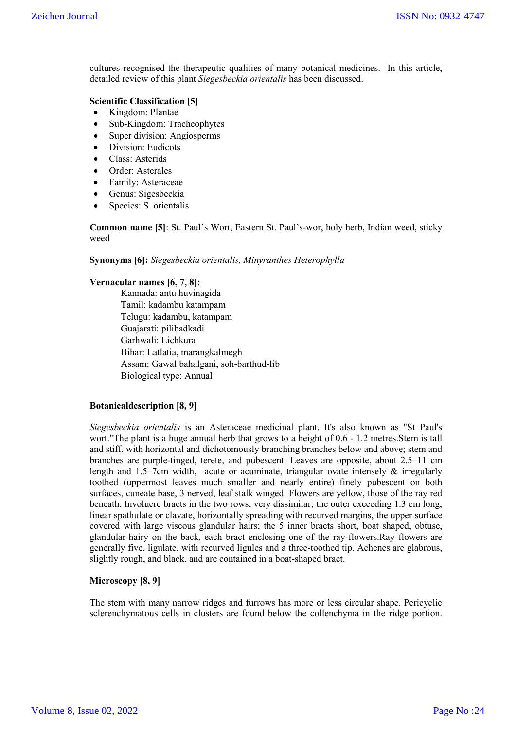cultures recognised the therapeutic qualities of many botanical medicines. In this article, detailed review of this plant *Siegesbeckia orientalis* has been discussed.

# **Scientific Classification [5]**

- Kingdom: Plantae
- Sub-Kingdom: Tracheophytes
- Super division: Angiosperms
- Division: Eudicots
- Class: Asterids
- Order: Asterales
- Family: Asteraceae
- Genus: Sigesbeckia
- Species: S. orientalis

**Common name [5]**: St. Paul's Wort, Eastern St. Paul's-wor, holy herb, Indian weed, sticky weed

**Synonyms [6]:** *Siegesbeckia orientalis, Minyranthes Heterophylla* 

### **Vernacular names [6, 7, 8]:**

Kannada: antu huvinagida Tamil: kadambu katampam Telugu: kadambu, katampam Guajarati: pilibadkadi Garhwali: Lichkura Bihar: Latlatia, marangkalmegh Assam: Gawal bahalgani, soh-barthud-lib Biological type: Annual

## **Botanicaldescription [8, 9]**

*Siegesbeckia orientalis* is an Asteraceae medicinal plant. It's also known as "St Paul's wort."The plant is a huge annual herb that grows to a height of 0.6 - 1.2 metres.Stem is tall and stiff, with horizontal and dichotomously branching branches below and above; stem and branches are purple-tinged, terete, and pubescent. Leaves are opposite, about 2.5–11 cm length and 1.5–7cm width, acute or acuminate, triangular ovate intensely & irregularly toothed (uppermost leaves much smaller and nearly entire) finely pubescent on both surfaces, cuneate base, 3 nerved, leaf stalk winged. Flowers are yellow, those of the ray red beneath. Involucre bracts in the two rows, very dissimilar; the outer exceeding 1.3 cm long, linear spathulate or clavate, horizontally spreading with recurved margins, the upper surface covered with large viscous glandular hairs; the 5 inner bracts short, boat shaped, obtuse, glandular-hairy on the back, each bract enclosing one of the ray-flowers.Ray flowers are generally five, ligulate, with recurved ligules and a three-toothed tip. Achenes are glabrous, slightly rough, and black, and are contained in a boat-shaped bract.

## **Microscopy [8, 9]**

The stem with many narrow ridges and furrows has more or less circular shape. Pericyclic sclerenchymatous cells in clusters are found below the collenchyma in the ridge portion.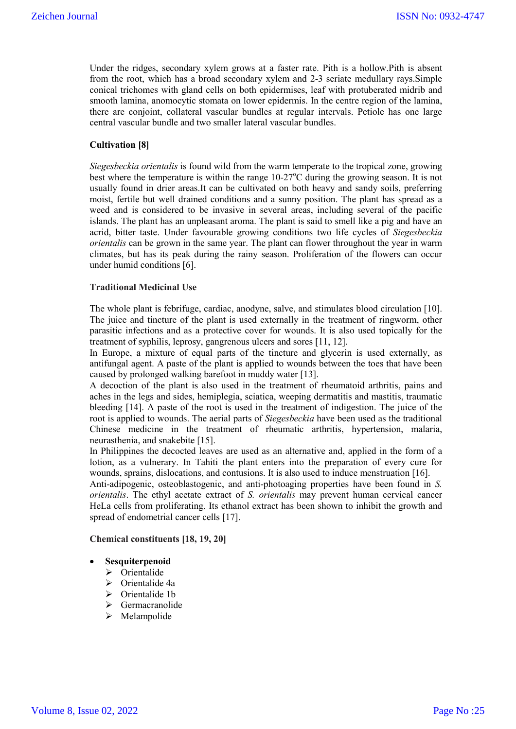Under the ridges, secondary xylem grows at a faster rate. Pith is a hollow.Pith is absent from the root, which has a broad secondary xylem and 2-3 seriate medullary rays.Simple conical trichomes with gland cells on both epidermises, leaf with protuberated midrib and smooth lamina, anomocytic stomata on lower epidermis. In the centre region of the lamina, there are conjoint, collateral vascular bundles at regular intervals. Petiole has one large central vascular bundle and two smaller lateral vascular bundles.

# **Cultivation [8]**

*Siegesbeckia orientalis* is found wild from the warm temperate to the tropical zone, growing best where the temperature is within the range  $10-27^{\circ}$ C during the growing season. It is not usually found in drier areas.It can be cultivated on both heavy and sandy soils, preferring moist, fertile but well drained conditions and a sunny position. The plant has spread as a weed and is considered to be invasive in several areas, including several of the pacific islands. The plant has an unpleasant aroma. The plant is said to smell like a pig and have an acrid, bitter taste. Under favourable growing conditions two life cycles of *Siegesbeckia orientalis* can be grown in the same year. The plant can flower throughout the year in warm climates, but has its peak during the rainy season. Proliferation of the flowers can occur under humid conditions [6].

### **Traditional Medicinal Use**

The whole plant is febrifuge, cardiac, anodyne, salve, and stimulates blood circulation [10]. The juice and tincture of the plant is used externally in the treatment of ringworm, other parasitic infections and as a protective cover for wounds. It is also used topically for the treatment of syphilis, leprosy, gangrenous ulcers and sores [11, 12].

In Europe, a mixture of equal parts of the tincture and glycerin is used externally, as antifungal agent. A paste of the plant is applied to wounds between the toes that have been caused by prolonged walking barefoot in muddy water [13].

A decoction of the plant is also used in the treatment of rheumatoid arthritis, pains and aches in the legs and sides, hemiplegia, sciatica, weeping dermatitis and mastitis, traumatic bleeding [14]. A paste of the root is used in the treatment of indigestion. The juice of the root is applied to wounds. The aerial parts of *Siegesbeckia* have been used as the traditional Chinese medicine in the treatment of rheumatic arthritis, hypertension, malaria, neurasthenia, and snakebite [15].

In Philippines the decocted leaves are used as an alternative and, applied in the form of a lotion, as a vulnerary. In Tahiti the plant enters into the preparation of every cure for wounds, sprains, dislocations, and contusions. It is also used to induce menstruation [16].

Anti-adipogenic, osteoblastogenic, and anti-photoaging properties have been found in *S. orientalis*. The ethyl acetate extract of *S. orientalis* may prevent human cervical cancer HeLa cells from proliferating. Its ethanol extract has been shown to inhibit the growth and spread of endometrial cancer cells [17].

#### **Chemical constituents [18, 19, 20]**

## **Sesquiterpenoid**

- $\triangleright$  Orientalide
- Orientalide 4a
- > Orientalide 1b
- $\triangleright$  Germacranolide
- $\triangleright$  Melampolide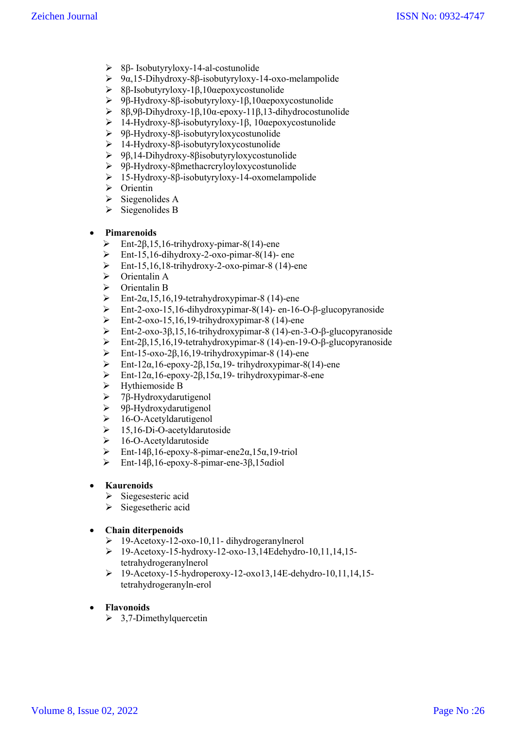- 8β- Isobutyryloxy-14-al-costunolide
- $9α,15-Dihydroxy-8β-isobutyryloxy-14-oxo-melampolide$
- 8β-Isobutyryloxy-1β,10αepoxycostunolide
- 9β-Hydroxy-8β-isobutyryloxy-1β,10αepoxycostunolide
- 8β,9β-Dihydroxy-1β,10α-epoxy-11β,13-dihydrocostunolide
- 14-Hydroxy-8β-isobutyryloxy-1β, 10αepoxycostunolide
- 9β-Hydroxy-8β-isobutyryloxycostunolide
- 14-Hydroxy-8β-isobutyryloxycostunolide
- 9β,14-Dihydroxy-8βisobutyryloxycostunolide
- 9β-Hydroxy-8βmethacrcryloyloxycostunolide
- 15-Hydroxy-8β-isobutyryloxy-14-oxomelampolide
- $\triangleright$  Orientin
- $\triangleright$  Siegenolides A
- $\triangleright$  Siegenolides B

# **Pimarenoids**

- $\triangleright$  Ent-2β,15,16-trihydroxy-pimar-8(14)-ene
- $\triangleright$  Ent-15,16-dihydroxy-2-oxo-pimar-8(14)- ene
- $\triangleright$  Ent-15,16,18-trihydroxy-2-oxo-pimar-8 (14)-ene
- $\triangleright$  Orientalin A
- $\triangleright$  Orientalin B
- Ent-2α,15,16,19-tetrahydroxypimar-8 (14)-ene
- Ent-2-oxo-15,16-dihydroxypimar-8(14)- en-16-O-β-glucopyranoside<br>
Ent-2-oxo-15,16,19-trihydroxypimar-8(14)-ene
- Ent-2-oxo-15,16,19-trihydroxypimar-8 (14)-ene<br>
Ent-2-oxo-38.15.16-trihydroxypimar-8 (14)-en-3
- Ent-2-oxo-3β,15,16-trihydroxypimar-8 (14)-en-3-O-β-glucopyranoside
- Ent-2β,15,16,19-tetrahydroxypimar-8 (14)-en-19-O-β-glucopyranoside
- $\triangleright$  Ent-15-oxo-2β,16,19-trihydroxypimar-8 (14)-ene
- Ent-12α,16-epoxy-2β,15α,19- trihydroxypimar-8(14)-ene
- $\triangleright$  Ent-12α,16-epoxy-2β,15α,19- trihydroxypimar-8-ene
- > Hythiemoside B
- $\geq$  7β-Hydroxydarutigenol<br>  $\geq$  9β-Hydroxydarutigenol
- 9β-Hydroxydarutigenol
- $\geq 16$ -O-Acetyldarutigenol
- $\geq$  15,16-Di-O-acetyldarutoside
- > 16-O-Acetyldarutoside
- Ent-14β,16-epoxy-8-pimar-ene2α,15α,19-triol
- Ent-14β,16-epoxy-8-pimar-ene-3β,15αdiol

# **Kaurenoids**

- > Siegesesteric acid
- $\triangleright$  Siegesetheric acid

# **Chain diterpenoids**

- 19-Acetoxy-12-oxo-10,11- dihydrogeranylnerol
- 19-Acetoxy-15-hydroxy-12-oxo-13,14Edehydro-10,11,14,15 tetrahydrogeranylnerol
- $\geq 19$ -Acetoxy-15-hydroperoxy-12-oxo13,14E-dehydro-10,11,14,15tetrahydrogeranyln-erol
- **Flavonoids**
	- $\geq 3,7$ -Dimethylquercetin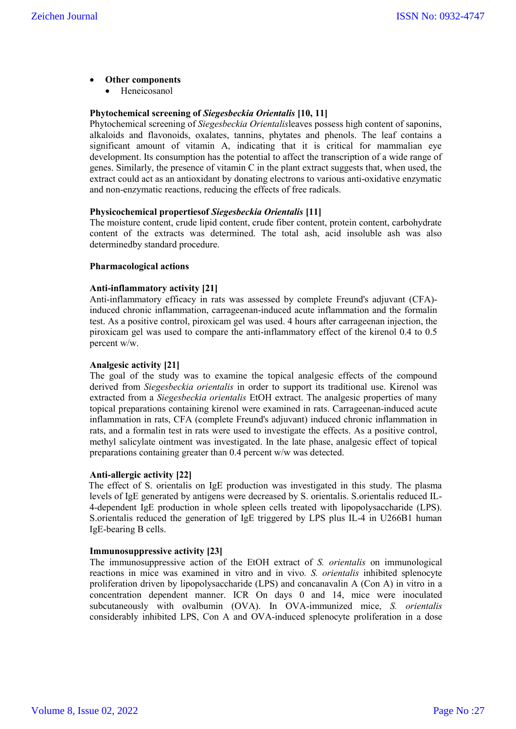# **Other components**

Heneicosanol

## **Phytochemical screening of** *Siegesbeckia Orientalis* **[10, 11]**

Phytochemical screening of *Siegesbeckia Orientalis*leaves possess high content of saponins, alkaloids and flavonoids, oxalates, tannins, phytates and phenols. The leaf contains a significant amount of vitamin A, indicating that it is critical for mammalian eye development. Its consumption has the potential to affect the transcription of a wide range of genes. Similarly, the presence of vitamin C in the plant extract suggests that, when used, the extract could act as an antioxidant by donating electrons to various anti-oxidative enzymatic and non-enzymatic reactions, reducing the effects of free radicals.

#### **Physicochemical propertiesof** *Siegesbeckia Orientalis* **[11]**

The moisture content, crude lipid content, crude fiber content, protein content, carbohydrate content of the extracts was determined. The total ash, acid insoluble ash was also determinedby standard procedure.

#### **Pharmacological actions**

#### **Anti-inflammatory activity [21]**

Anti-inflammatory efficacy in rats was assessed by complete Freund's adjuvant (CFA) induced chronic inflammation, carrageenan-induced acute inflammation and the formalin test. As a positive control, piroxicam gel was used. 4 hours after carrageenan injection, the piroxicam gel was used to compare the anti-inflammatory effect of the kirenol 0.4 to 0.5 percent w/w.

#### **Analgesic activity [21]**

The goal of the study was to examine the topical analgesic effects of the compound derived from *Siegesbeckia orientalis* in order to support its traditional use. Kirenol was extracted from a *Siegesbeckia orientalis* EtOH extract. The analgesic properties of many topical preparations containing kirenol were examined in rats. Carrageenan-induced acute inflammation in rats, CFA (complete Freund's adjuvant) induced chronic inflammation in rats, and a formalin test in rats were used to investigate the effects. As a positive control, methyl salicylate ointment was investigated. In the late phase, analgesic effect of topical preparations containing greater than 0.4 percent w/w was detected.

#### **Anti-allergic activity [22]**

The effect of S. orientalis on IgE production was investigated in this study. The plasma levels of IgE generated by antigens were decreased by S. orientalis. S.orientalis reduced IL-4-dependent IgE production in whole spleen cells treated with lipopolysaccharide (LPS). S.orientalis reduced the generation of IgE triggered by LPS plus IL-4 in U266B1 human IgE-bearing B cells.

#### **Immunosuppressive activity [23]**

The immunosuppressive action of the EtOH extract of *S. orientalis* on immunological reactions in mice was examined in vitro and in vivo*. S. orientalis* inhibited splenocyte proliferation driven by lipopolysaccharide (LPS) and concanavalin A (Con A) in vitro in a concentration dependent manner. ICR On days 0 and 14, mice were inoculated subcutaneously with ovalbumin (OVA). In OVA-immunized mice, *S. orientalis* considerably inhibited LPS, Con A and OVA-induced splenocyte proliferation in a dose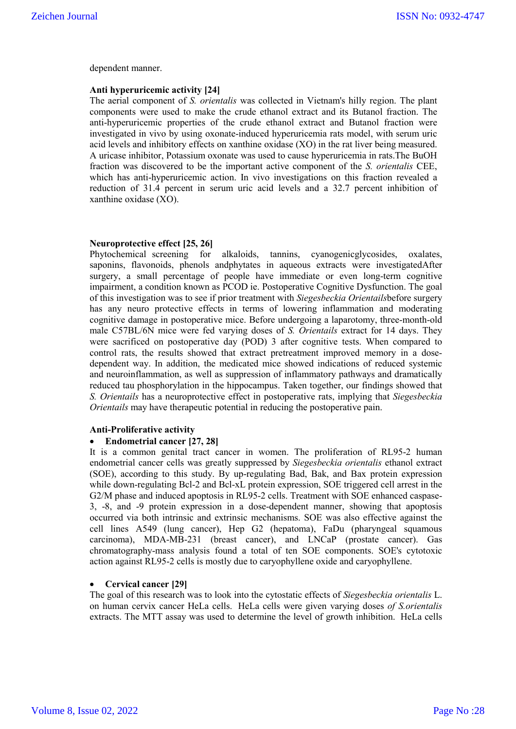dependent manner.

#### **Anti hyperuricemic activity [24]**

The aerial component of *S. orientalis* was collected in Vietnam's hilly region. The plant components were used to make the crude ethanol extract and its Butanol fraction. The anti-hyperuricemic properties of the crude ethanol extract and Butanol fraction were investigated in vivo by using oxonate-induced hyperuricemia rats model, with serum uric acid levels and inhibitory effects on xanthine oxidase (XO) in the rat liver being measured. A uricase inhibitor, Potassium oxonate was used to cause hyperuricemia in rats.The BuOH fraction was discovered to be the important active component of the *S. orientalis* CEE, which has anti-hyperuricemic action. In vivo investigations on this fraction revealed a reduction of 31.4 percent in serum uric acid levels and a 32.7 percent inhibition of xanthine oxidase (XO).

### **Neuroprotective effect [25, 26]**

Phytochemical screening for alkaloids, tannins, cyanogenicglycosides, oxalates, saponins, flavonoids, phenols andphytates in aqueous extracts were investigatedAfter surgery, a small percentage of people have immediate or even long-term cognitive impairment, a condition known as PCOD ie. Postoperative Cognitive Dysfunction. The goal of this investigation was to see if prior treatment with *Siegesbeckia Orientails*before surgery has any neuro protective effects in terms of lowering inflammation and moderating cognitive damage in postoperative mice. Before undergoing a laparotomy, three-month-old male C57BL/6N mice were fed varying doses of *S. Orientails* extract for 14 days. They were sacrificed on postoperative day (POD) 3 after cognitive tests. When compared to control rats, the results showed that extract pretreatment improved memory in a dosedependent way. In addition, the medicated mice showed indications of reduced systemic and neuroinflammation, as well as suppression of inflammatory pathways and dramatically reduced tau phosphorylation in the hippocampus. Taken together, our findings showed that *S. Orientails* has a neuroprotective effect in postoperative rats, implying that *Siegesbeckia Orientails* may have therapeutic potential in reducing the postoperative pain.

#### **Anti-Proliferative activity**

### **Endometrial cancer [27, 28]**

It is a common genital tract cancer in women. The proliferation of RL95-2 human endometrial cancer cells was greatly suppressed by *Siegesbeckia orientalis* ethanol extract (SOE), according to this study. By up-regulating Bad, Bak, and Bax protein expression while down-regulating Bcl-2 and Bcl-xL protein expression, SOE triggered cell arrest in the G2/M phase and induced apoptosis in RL95-2 cells. Treatment with SOE enhanced caspase-3, -8, and -9 protein expression in a dose-dependent manner, showing that apoptosis occurred via both intrinsic and extrinsic mechanisms. SOE was also effective against the cell lines A549 (lung cancer), Hep G2 (hepatoma), FaDu (pharyngeal squamous carcinoma), MDA-MB-231 (breast cancer), and LNCaP (prostate cancer). Gas chromatography-mass analysis found a total of ten SOE components. SOE's cytotoxic action against RL95-2 cells is mostly due to caryophyllene oxide and caryophyllene.

# **Cervical cancer [29]**

The goal of this research was to look into the cytostatic effects of *Siegesbeckia orientalis* L. on human cervix cancer HeLa cells. HeLa cells were given varying doses *of S.orientalis* extracts. The MTT assay was used to determine the level of growth inhibition. HeLa cells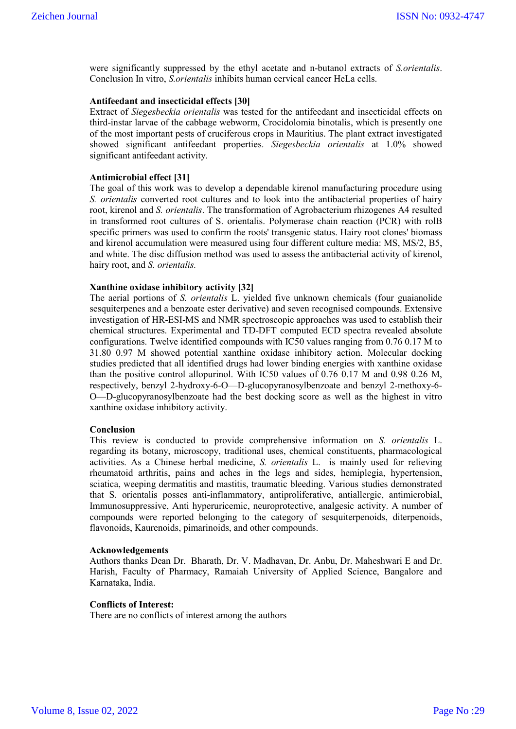were significantly suppressed by the ethyl acetate and n-butanol extracts of *S.orientalis*. Conclusion In vitro, *S.orientalis* inhibits human cervical cancer HeLa cells.

## **Antifeedant and insecticidal effects [30]**

Extract of *Siegesbeckia orientalis* was tested for the antifeedant and insecticidal effects on third-instar larvae of the cabbage webworm, Crocidolomia binotalis, which is presently one of the most important pests of cruciferous crops in Mauritius. The plant extract investigated showed significant antifeedant properties. *Siegesbeckia orientalis* at 1.0% showed significant antifeedant activity.

#### **Antimicrobial effect [31]**

The goal of this work was to develop a dependable kirenol manufacturing procedure using *S. orientalis* converted root cultures and to look into the antibacterial properties of hairy root, kirenol and *S. orientalis*. The transformation of Agrobacterium rhizogenes A4 resulted in transformed root cultures of S. orientalis. Polymerase chain reaction (PCR) with rolB specific primers was used to confirm the roots' transgenic status. Hairy root clones' biomass and kirenol accumulation were measured using four different culture media: MS, MS/2, B5, and white. The disc diffusion method was used to assess the antibacterial activity of kirenol, hairy root, and *S. orientalis.* 

#### **Xanthine oxidase inhibitory activity [32]**

The aerial portions of *S. orientalis* L. yielded five unknown chemicals (four guaianolide sesquiterpenes and a benzoate ester derivative) and seven recognised compounds. Extensive investigation of HR-ESI-MS and NMR spectroscopic approaches was used to establish their chemical structures. Experimental and TD-DFT computed ECD spectra revealed absolute configurations. Twelve identified compounds with IC50 values ranging from 0.76 0.17 M to 31.80 0.97 M showed potential xanthine oxidase inhibitory action. Molecular docking studies predicted that all identified drugs had lower binding energies with xanthine oxidase than the positive control allopurinol. With IC50 values of 0.76 0.17 M and 0.98 0.26 M, respectively, benzyl 2-hydroxy-6-O—D-glucopyranosylbenzoate and benzyl 2-methoxy-6- O—D-glucopyranosylbenzoate had the best docking score as well as the highest in vitro xanthine oxidase inhibitory activity.

#### **Conclusion**

This review is conducted to provide comprehensive information on *S. orientalis* L. regarding its botany, microscopy, traditional uses, chemical constituents, pharmacological activities. As a Chinese herbal medicine, *S. orientalis* L. is mainly used for relieving rheumatoid arthritis, pains and aches in the legs and sides, hemiplegia, hypertension, sciatica, weeping dermatitis and mastitis, traumatic bleeding. Various studies demonstrated that S. orientalis posses anti-inflammatory, antiproliferative, antiallergic, antimicrobial, Immunosuppressive, Anti hyperuricemic, neuroprotective, analgesic activity. A number of compounds were reported belonging to the category of sesquiterpenoids, diterpenoids, flavonoids, Kaurenoids, pimarinoids, and other compounds.

#### **Acknowledgements**

Authors thanks Dean Dr. Bharath, Dr. V. Madhavan, Dr. Anbu, Dr. Maheshwari E and Dr. Harish, Faculty of Pharmacy, Ramaiah University of Applied Science, Bangalore and Karnataka, India.

#### **Conflicts of Interest:**

There are no conflicts of interest among the authors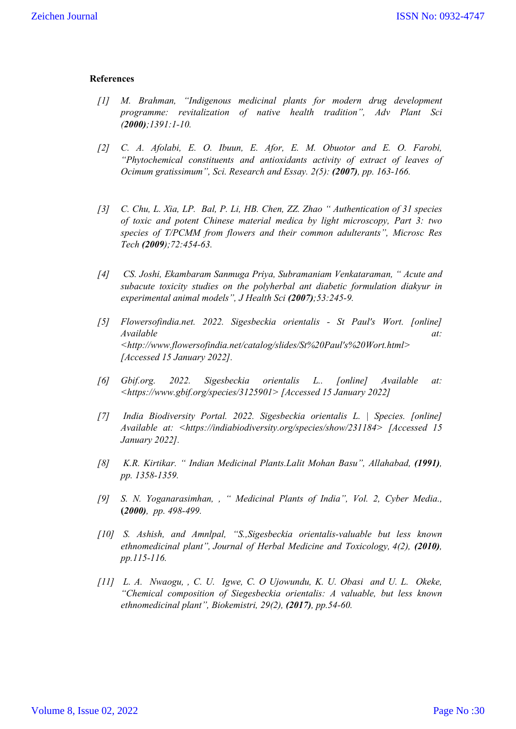### **References**

- *[1] M. Brahman, "Indigenous medicinal plants for modern drug development programme: revitalization of native health tradition", Adv Plant Sci (2000);1391:1-10.*
- *[2] C. A. Afolabi, E. O. Ibuun, E. Afor, E. M. Obuotor and E. O. Farobi, "Phytochemical constituents and antioxidants activity of extract of leaves of Ocimum gratissimum", Sci. Research and Essay. 2(5): (2007), pp. 163-166.*
- *[3] C. Chu, L. Xia, LP. Bal, P. Li, HB. Chen, ZZ. Zhao " Authentication of 31 species of toxic and potent Chinese material medica by light microscopy, Part 3: two species of T/PCMM from flowers and their common adulterants", Microsc Res Tech (2009);72:454-63.*
- *[4] CS. Joshi, Ekambaram Sanmuga Priya, Subramaniam Venkataraman, " Acute and subacute toxicity studies on the polyherbal ant diabetic formulation diakyur in experimental animal models", J Health Sci (2007);53:245-9.*
- *[5] Flowersofindia.net. 2022. Sigesbeckia orientalis - St Paul's Wort. [online] Available at: <http://www.flowersofindia.net/catalog/slides/St%20Paul's%20Wort.html> [Accessed 15 January 2022].*
- *[6] Gbif.org. 2022. Sigesbeckia orientalis L.. [online] Available at: <https://www.gbif.org/species/3125901> [Accessed 15 January 2022]*
- *[7] India Biodiversity Portal. 2022. Sigesbeckia orientalis L. | Species. [online] Available at: <https://indiabiodiversity.org/species/show/231184> [Accessed 15 January 2022].*
- *[8] K.R. Kirtikar. " Indian Medicinal Plants.Lalit Mohan Basu", Allahabad, (1991), pp. 1358-1359.*
- *[9] S. N. Yoganarasimhan, , " Medicinal Plants of India", Vol. 2, Cyber Media.,* **(***2000), pp. 498-499.*
- *[10] S. Ashish, and Amnlpal, "S.,Sigesbeckia orientalis-valuable but less known ethnomedicinal plant", Journal of Herbal Medicine and Toxicology, 4(2), (2010), pp.115-116.*
- *[11] L. A. Nwaogu, , C. U. Igwe, C. O Ujowundu, K. U. Obasi and U. L. Okeke, "Chemical composition of Siegesbeckia orientalis: A valuable, but less known ethnomedicinal plant", Biokemistri, 29(2), (2017), pp.54-60.*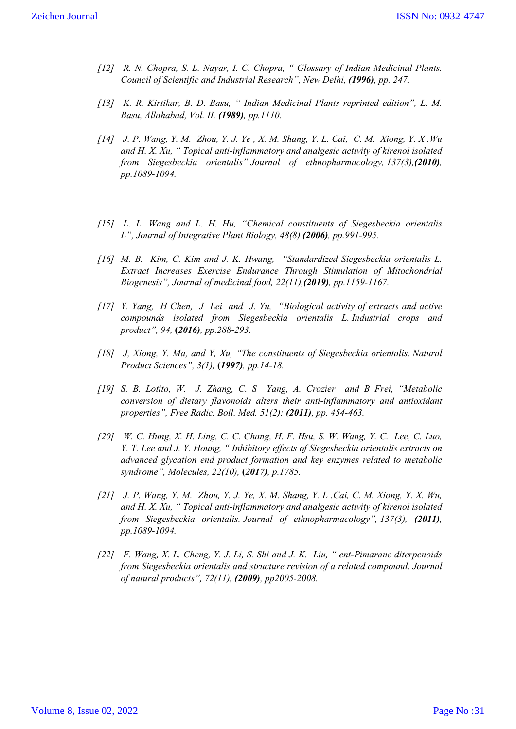- *[12] R. N. Chopra, S. L. Nayar, I. C. Chopra, " Glossary of Indian Medicinal Plants. Council of Scientific and Industrial Research", New Delhi, (1996), pp. 247.*
- *[13] K. R. Kirtikar, B. D. Basu, " Indian Medicinal Plants reprinted edition", L. M. Basu, Allahabad, Vol. II. (1989), pp.1110.*
- *[14] J. P. Wang, Y. M. Zhou, Y. J. Ye , X. M. Shang, Y. L. Cai, C. M. Xiong, Y. X .Wu and H. X. Xu, " Topical anti-inflammatory and analgesic activity of kirenol isolated from Siegesbeckia orientalis" Journal of ethnopharmacology, 137(3),(2010), pp.1089-1094.*
- *[15] L. L. Wang and L. H. Hu, "Chemical constituents of Siegesbeckia orientalis L", Journal of Integrative Plant Biology, 48(8) (2006), pp.991-995.*
- *[16] M. B. Kim, C. Kim and J. K. Hwang, "Standardized Siegesbeckia orientalis L. Extract Increases Exercise Endurance Through Stimulation of Mitochondrial Biogenesis", Journal of medicinal food, 22(11),(2019), pp.1159-1167.*
- *[17] Y. Yang, H Chen, J Lei and J. Yu, "Biological activity of extracts and active compounds isolated from Siegesbeckia orientalis L. Industrial crops and product", 94,* **(***2016), pp.288-293.*
- *[18] J, Xiong, Y. Ma, and Y, Xu, "The constituents of Siegesbeckia orientalis. Natural Product Sciences", 3(1),* **(***1997), pp.14-18.*
- *[19] S. B. Lotito, W. J. Zhang, C. S Yang, A. Crozier and B Frei, "Metabolic conversion of dietary flavonoids alters their anti-inflammatory and antioxidant properties", Free Radic. Boil. Med. 51(2): (2011), pp. 454-463.*
- *[20] W. C. Hung, X. H. Ling, C. C. Chang, H. F. Hsu, S. W. Wang, Y. C. Lee, C. Luo, Y. T. Lee and J. Y. Houng, " Inhibitory effects of Siegesbeckia orientalis extracts on advanced glycation end product formation and key enzymes related to metabolic syndrome", Molecules, 22(10),* **(***2017), p.1785.*
- *[21] J. P. Wang, Y. M. Zhou, Y. J. Ye, X. M. Shang, Y. L .Cai, C. M. Xiong, Y. X. Wu, and H. X. Xu, " Topical anti-inflammatory and analgesic activity of kirenol isolated from Siegesbeckia orientalis. Journal of ethnopharmacology", 137(3), (2011), pp.1089-1094.*
- *[22] F. Wang, X. L. Cheng, Y. J. Li, S. Shi and J. K. Liu, " ent-Pimarane diterpenoids from Siegesbeckia orientalis and structure revision of a related compound. Journal of natural products", 72(11), (2009), pp2005-2008.*